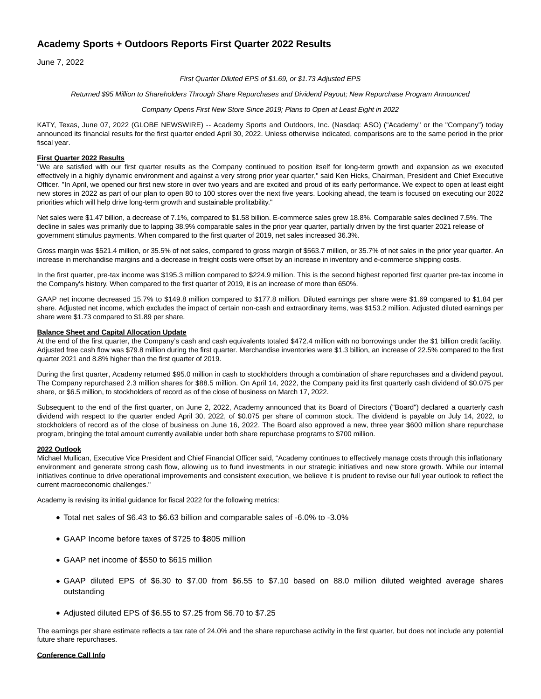# **Academy Sports + Outdoors Reports First Quarter 2022 Results**

June 7, 2022

First Quarter Diluted EPS of \$1.69, or \$1.73 Adjusted EPS

Returned \$95 Million to Shareholders Through Share Repurchases and Dividend Payout; New Repurchase Program Announced

Company Opens First New Store Since 2019; Plans to Open at Least Eight in 2022

KATY, Texas, June 07, 2022 (GLOBE NEWSWIRE) -- Academy Sports and Outdoors, Inc. (Nasdaq: ASO) ("Academy" or the "Company") today announced its financial results for the first quarter ended April 30, 2022. Unless otherwise indicated, comparisons are to the same period in the prior fiscal year.

# **First Quarter 2022 Results**

"We are satisfied with our first quarter results as the Company continued to position itself for long-term growth and expansion as we executed effectively in a highly dynamic environment and against a very strong prior year quarter," said Ken Hicks, Chairman, President and Chief Executive Officer. "In April, we opened our first new store in over two years and are excited and proud of its early performance. We expect to open at least eight new stores in 2022 as part of our plan to open 80 to 100 stores over the next five years. Looking ahead, the team is focused on executing our 2022 priorities which will help drive long-term growth and sustainable profitability."

Net sales were \$1.47 billion, a decrease of 7.1%, compared to \$1.58 billion. E-commerce sales grew 18.8%. Comparable sales declined 7.5%. The decline in sales was primarily due to lapping 38.9% comparable sales in the prior year quarter, partially driven by the first quarter 2021 release of government stimulus payments. When compared to the first quarter of 2019, net sales increased 36.3%.

Gross margin was \$521.4 million, or 35.5% of net sales, compared to gross margin of \$563.7 million, or 35.7% of net sales in the prior year quarter. An increase in merchandise margins and a decrease in freight costs were offset by an increase in inventory and e-commerce shipping costs.

In the first quarter, pre-tax income was \$195.3 million compared to \$224.9 million. This is the second highest reported first quarter pre-tax income in the Company's history. When compared to the first quarter of 2019, it is an increase of more than 650%.

GAAP net income decreased 15.7% to \$149.8 million compared to \$177.8 million. Diluted earnings per share were \$1.69 compared to \$1.84 per share. Adjusted net income, which excludes the impact of certain non-cash and extraordinary items, was \$153.2 million. Adjusted diluted earnings per share were \$1.73 compared to \$1.89 per share.

# **Balance Sheet and Capital Allocation Update**

At the end of the first quarter, the Company's cash and cash equivalents totaled \$472.4 million with no borrowings under the \$1 billion credit facility. Adjusted free cash flow was \$79.8 million during the first quarter. Merchandise inventories were \$1.3 billion, an increase of 22.5% compared to the first quarter 2021 and 8.8% higher than the first quarter of 2019.

During the first quarter, Academy returned \$95.0 million in cash to stockholders through a combination of share repurchases and a dividend payout. The Company repurchased 2.3 million shares for \$88.5 million. On April 14, 2022, the Company paid its first quarterly cash dividend of \$0.075 per share, or \$6.5 million, to stockholders of record as of the close of business on March 17, 2022.

Subsequent to the end of the first quarter, on June 2, 2022, Academy announced that its Board of Directors ("Board") declared a quarterly cash dividend with respect to the quarter ended April 30, 2022, of \$0.075 per share of common stock. The dividend is payable on July 14, 2022, to stockholders of record as of the close of business on June 16, 2022. The Board also approved a new, three year \$600 million share repurchase program, bringing the total amount currently available under both share repurchase programs to \$700 million.

# **2022 Outlook**

Michael Mullican, Executive Vice President and Chief Financial Officer said, "Academy continues to effectively manage costs through this inflationary environment and generate strong cash flow, allowing us to fund investments in our strategic initiatives and new store growth. While our internal initiatives continue to drive operational improvements and consistent execution, we believe it is prudent to revise our full year outlook to reflect the current macroeconomic challenges."

Academy is revising its initial guidance for fiscal 2022 for the following metrics:

- Total net sales of \$6.43 to \$6.63 billion and comparable sales of -6.0% to -3.0%
- GAAP Income before taxes of \$725 to \$805 million
- GAAP net income of \$550 to \$615 million
- GAAP diluted EPS of \$6.30 to \$7.00 from \$6.55 to \$7.10 based on 88.0 million diluted weighted average shares outstanding
- Adjusted diluted EPS of \$6.55 to \$7.25 from \$6.70 to \$7.25

The earnings per share estimate reflects a tax rate of 24.0% and the share repurchase activity in the first quarter, but does not include any potential future share repurchases.

# **Conference Call Info**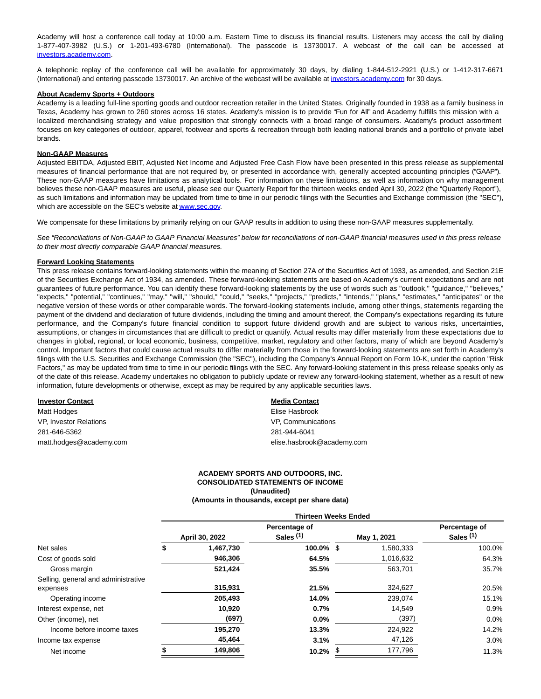Academy will host a conference call today at 10:00 a.m. Eastern Time to discuss its financial results. Listeners may access the call by dialing 1-877-407-3982 (U.S.) or 1-201-493-6780 (International). The passcode is 13730017. A webcast of the call can be accessed at [investors.academy.com.](https://www.globenewswire.com/Tracker?data=UEdWvT_lOoZalhNAJqb99x6AvZdeCZIMxDwr0tCEVOjF70avId2LqlP_Eu_t-88xFPw2kKlLrG46PlDH1FNpByrbauOlFnF__WjgoNgpF0Q=)

A telephonic replay of the conference call will be available for approximately 30 days, by dialing 1-844-512-2921 (U.S.) or 1-412-317-6671 (International) and entering passcode 13730017. An archive of the webcast will be available at [investors.academy.com f](https://www.globenewswire.com/Tracker?data=UEdWvT_lOoZalhNAJqb99x6AvZdeCZIMxDwr0tCEVOgG4Yc3FoO-mNhpTTT63PEsFqogLj8W1-p8vy-d-WyPs7Vsd-13sgWJJZMFUmgyqVQ=)or 30 days.

#### **About Academy Sports + Outdoors**

Academy is a leading full-line sporting goods and outdoor recreation retailer in the United States. Originally founded in 1938 as a family business in Texas, Academy has grown to 260 stores across 16 states. Academy's mission is to provide "Fun for All" and Academy fulfills this mission with a localized merchandising strategy and value proposition that strongly connects with a broad range of consumers. Academy's product assortment focuses on key categories of outdoor, apparel, footwear and sports & recreation through both leading national brands and a portfolio of private label brands.

#### **Non-GAAP Measures**

Adjusted EBITDA, Adjusted EBIT, Adjusted Net Income and Adjusted Free Cash Flow have been presented in this press release as supplemental measures of financial performance that are not required by, or presented in accordance with, generally accepted accounting principles ("GAAP"). These non-GAAP measures have limitations as analytical tools. For information on these limitations, as well as information on why management believes these non-GAAP measures are useful, please see our Quarterly Report for the thirteen weeks ended April 30, 2022 (the "Quarterly Report"), as such limitations and information may be updated from time to time in our periodic filings with the Securities and Exchange commission (the "SEC"), which are accessible on the SEC's website a[t www.sec.gov.](https://www.globenewswire.com/Tracker?data=66MQ5cNKBFoN8mmB_QHY9PGB6Ij05x6aJCWI-GBOUGFzqrQ98pAzJliuFyD5W-RNRPMSOEppJGeFX6vhEJZAqg==)

We compensate for these limitations by primarily relying on our GAAP results in addition to using these non-GAAP measures supplementally.

See "Reconciliations of Non-GAAP to GAAP Financial Measures" below for reconciliations of non-GAAP financial measures used in this press release to their most directly comparable GAAP financial measures.

#### **Forward Looking Statements**

This press release contains forward-looking statements within the meaning of Section 27A of the Securities Act of 1933, as amended, and Section 21E of the Securities Exchange Act of 1934, as amended. These forward-looking statements are based on Academy's current expectations and are not guarantees of future performance. You can identify these forward-looking statements by the use of words such as "outlook," "guidance," "believes," "expects," "potential," "continues," "may," "will," "should," "could," "seeks," "projects," "predicts," "intends," "plans," "estimates," "anticipates" or the negative version of these words or other comparable words. The forward-looking statements include, among other things, statements regarding the payment of the dividend and declaration of future dividends, including the timing and amount thereof, the Company's expectations regarding its future performance, and the Company's future financial condition to support future dividend growth and are subject to various risks, uncertainties, assumptions, or changes in circumstances that are difficult to predict or quantify. Actual results may differ materially from these expectations due to changes in global, regional, or local economic, business, competitive, market, regulatory and other factors, many of which are beyond Academy's control. Important factors that could cause actual results to differ materially from those in the forward-looking statements are set forth in Academy's filings with the U.S. Securities and Exchange Commission (the "SEC"), including the Company's Annual Report on Form 10-K, under the caption "Risk Factors," as may be updated from time to time in our periodic filings with the SEC. Any forward-looking statement in this press release speaks only as of the date of this release. Academy undertakes no obligation to publicly update or review any forward-looking statement, whether as a result of new information, future developments or otherwise, except as may be required by any applicable securities laws.

| <b>Investor Contact</b> | <b>Media Contact</b>       |
|-------------------------|----------------------------|
| Matt Hodges             | Elise Hasbrook             |
| VP, Investor Relations  | VP. Communications         |
| 281-646-5362            | 281-944-6041               |
| matt.hodges@academy.com | elise.hasbrook@academy.com |

### **ACADEMY SPORTS AND OUTDOORS, INC. CONSOLIDATED STATEMENTS OF INCOME (Unaudited)**

**(Amounts in thousands, except per share data)**

**Thirteen Weeks Ended**

|                                     | Thirteen Weeks Ended |                |                                       |   |             |                                       |
|-------------------------------------|----------------------|----------------|---------------------------------------|---|-------------|---------------------------------------|
|                                     |                      | April 30, 2022 | Percentage of<br>Sales <sup>(1)</sup> |   | May 1, 2021 | Percentage of<br>Sales <sup>(1)</sup> |
| Net sales                           | \$                   | 1,467,730      | 100.0% \$                             |   | 1,580,333   | 100.0%                                |
| Cost of goods sold                  |                      | 946,306        | 64.5%                                 |   | 1,016,632   | 64.3%                                 |
| Gross margin                        |                      | 521,424        | 35.5%                                 |   | 563,701     | 35.7%                                 |
| Selling, general and administrative |                      |                |                                       |   |             |                                       |
| expenses                            |                      | 315,931        | 21.5%                                 |   | 324,627     | 20.5%                                 |
| Operating income                    |                      | 205,493        | 14.0%                                 |   | 239.074     | 15.1%                                 |
| Interest expense, net               |                      | 10,920         | 0.7%                                  |   | 14,549      | 0.9%                                  |
| Other (income), net                 |                      | (697)          | 0.0%                                  |   | (397)       | 0.0%                                  |
| Income before income taxes          |                      | 195,270        | 13.3%                                 |   | 224,922     | 14.2%                                 |
| Income tax expense                  |                      | 45,464         | 3.1%                                  |   | 47,126      | 3.0%                                  |
| Net income                          |                      | 149.806        | 10.2%                                 | ъ | 177,796     | 11.3%                                 |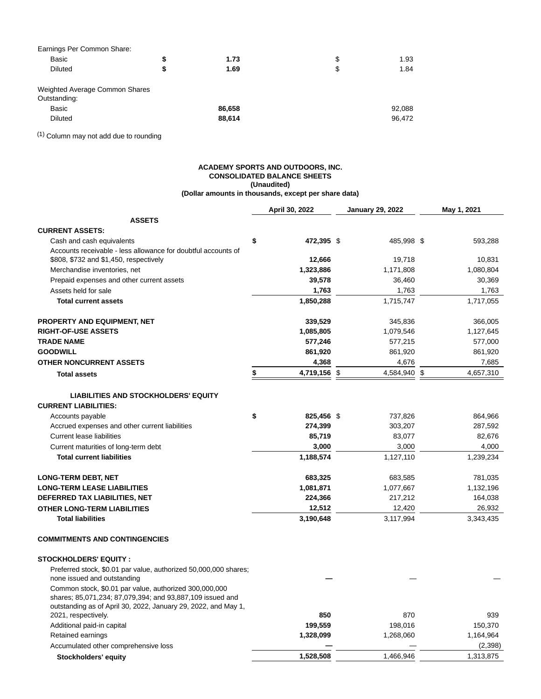| Earnings Per Common Share:     |    |        |            |
|--------------------------------|----|--------|------------|
| Basic                          | \$ | 1.73   | \$<br>1.93 |
| <b>Diluted</b>                 | S  | 1.69   | \$<br>1.84 |
| Weighted Average Common Shares |    |        |            |
| Outstanding:                   |    |        |            |
| Basic                          |    | 86,658 | 92,088     |
| <b>Diluted</b>                 |    | 88,614 | 96,472     |

(1) Column may not add due to rounding

# **ACADEMY SPORTS AND OUTDOORS, INC. CONSOLIDATED BALANCE SHEETS (Unaudited) (Dollar amounts in thousands, except per share data)**

|                                                                                                                                                                                       | April 30, 2022   | <b>January 29, 2022</b> | May 1, 2021 |
|---------------------------------------------------------------------------------------------------------------------------------------------------------------------------------------|------------------|-------------------------|-------------|
| <b>ASSETS</b>                                                                                                                                                                         |                  |                         |             |
| <b>CURRENT ASSETS:</b>                                                                                                                                                                |                  |                         |             |
| Cash and cash equivalents                                                                                                                                                             | \$<br>472,395 \$ | 485,998 \$              | 593,288     |
| Accounts receivable - less allowance for doubtful accounts of                                                                                                                         |                  |                         |             |
| \$808, \$732 and \$1,450, respectively                                                                                                                                                | 12,666           | 19,718                  | 10,831      |
| Merchandise inventories, net                                                                                                                                                          | 1,323,886        | 1,171,808               | 1,080,804   |
| Prepaid expenses and other current assets                                                                                                                                             | 39,578           | 36,460                  | 30,369      |
| Assets held for sale                                                                                                                                                                  | 1,763            | 1,763                   | 1,763       |
| <b>Total current assets</b>                                                                                                                                                           | 1,850,288        | 1,715,747               | 1,717,055   |
| <b>PROPERTY AND EQUIPMENT, NET</b>                                                                                                                                                    | 339,529          | 345,836                 | 366,005     |
| <b>RIGHT-OF-USE ASSETS</b>                                                                                                                                                            | 1,085,805        | 1,079,546               | 1,127,645   |
| <b>TRADE NAME</b>                                                                                                                                                                     | 577,246          | 577,215                 | 577,000     |
| <b>GOODWILL</b>                                                                                                                                                                       | 861,920          | 861,920                 | 861,920     |
| OTHER NONCURRENT ASSETS                                                                                                                                                               | 4,368            | 4,676                   | 7,685       |
| <b>Total assets</b>                                                                                                                                                                   | \$<br>4,719,156  | \$<br>4,584,940 \$      | 4,657,310   |
| <b>LIABILITIES AND STOCKHOLDERS' EQUITY</b>                                                                                                                                           |                  |                         |             |
| <b>CURRENT LIABILITIES:</b>                                                                                                                                                           |                  |                         |             |
| Accounts payable                                                                                                                                                                      | \$<br>825,456 \$ | 737,826                 | 864,966     |
| Accrued expenses and other current liabilities                                                                                                                                        | 274,399          | 303,207                 | 287,592     |
| <b>Current lease liabilities</b>                                                                                                                                                      | 85,719           | 83,077                  | 82,676      |
| Current maturities of long-term debt                                                                                                                                                  | 3,000            | 3,000                   | 4,000       |
| <b>Total current liabilities</b>                                                                                                                                                      | 1,188,574        | 1,127,110               | 1,239,234   |
|                                                                                                                                                                                       |                  |                         |             |
| <b>LONG-TERM DEBT, NET</b>                                                                                                                                                            | 683,325          | 683,585                 | 781,035     |
| <b>LONG-TERM LEASE LIABILITIES</b>                                                                                                                                                    | 1,081,871        | 1,077,667               | 1,132,196   |
| DEFERRED TAX LIABILITIES, NET                                                                                                                                                         | 224,366          | 217,212                 | 164,038     |
| <b>OTHER LONG-TERM LIABILITIES</b>                                                                                                                                                    | 12,512           | 12,420                  | 26,932      |
| <b>Total liabilities</b>                                                                                                                                                              | 3,190,648        | 3,117,994               | 3,343,435   |
| <b>COMMITMENTS AND CONTINGENCIES</b>                                                                                                                                                  |                  |                         |             |
| <b>STOCKHOLDERS' EQUITY:</b>                                                                                                                                                          |                  |                         |             |
| Preferred stock, \$0.01 par value, authorized 50,000,000 shares;<br>none issued and outstanding                                                                                       |                  |                         |             |
| Common stock, \$0.01 par value, authorized 300,000,000<br>shares; 85,071,234; 87,079,394; and 93,887,109 issued and<br>outstanding as of April 30, 2022, January 29, 2022, and May 1, |                  |                         |             |
| 2021, respectively.                                                                                                                                                                   | 850              | 870                     | 939         |
| Additional paid-in capital                                                                                                                                                            | 199,559          | 198,016                 | 150,370     |
| Retained earnings                                                                                                                                                                     | 1,328,099        | 1,268,060               | 1,164,964   |
| Accumulated other comprehensive loss                                                                                                                                                  |                  |                         | (2,398)     |
| Stockholders' equity                                                                                                                                                                  | 1,528,508        | 1,466,946               | 1,313,875   |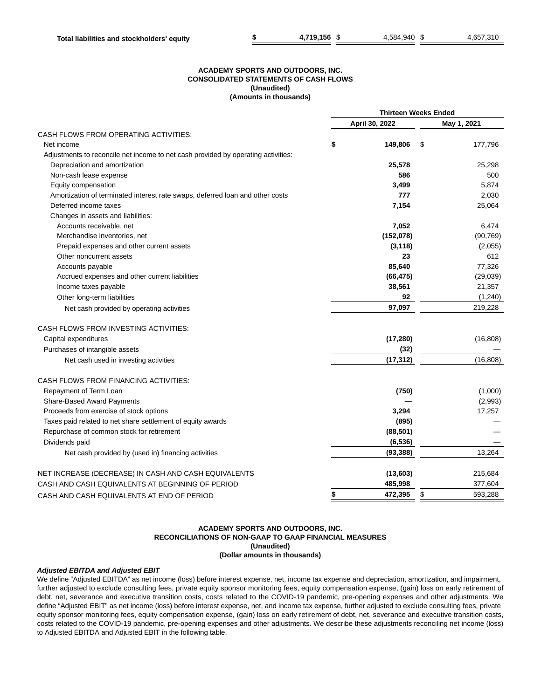# **ACADEMY SPORTS AND OUTDOORS, INC. CONSOLIDATED STATEMENTS OF CASH FLOWS (Unaudited) (Amounts in thousands)**

|                                                                                   | <b>Thirteen Weeks Ended</b> |                |    |             |
|-----------------------------------------------------------------------------------|-----------------------------|----------------|----|-------------|
|                                                                                   |                             | April 30, 2022 |    | May 1, 2021 |
| CASH FLOWS FROM OPERATING ACTIVITIES:                                             |                             |                |    |             |
| Net income                                                                        | \$                          | 149.806        | \$ | 177,796     |
| Adjustments to reconcile net income to net cash provided by operating activities: |                             |                |    |             |
| Depreciation and amortization                                                     |                             | 25,578         |    | 25,298      |
| Non-cash lease expense                                                            |                             | 586            |    | 500         |
| Equity compensation                                                               |                             | 3,499          |    | 5,874       |
| Amortization of terminated interest rate swaps, deferred loan and other costs     |                             | 777            |    | 2,030       |
| Deferred income taxes                                                             |                             | 7,154          |    | 25,064      |
| Changes in assets and liabilities:                                                |                             |                |    |             |
| Accounts receivable, net                                                          |                             | 7,052          |    | 6,474       |
| Merchandise inventories, net                                                      |                             | (152,078)      |    | (90, 769)   |
| Prepaid expenses and other current assets                                         |                             | (3, 118)       |    | (2,055)     |
| Other noncurrent assets                                                           |                             | 23             |    | 612         |
| Accounts payable                                                                  |                             | 85,640         |    | 77,326      |
| Accrued expenses and other current liabilities                                    |                             | (66, 475)      |    | (29,039)    |
| Income taxes payable                                                              |                             | 38,561         |    | 21,357      |
| Other long-term liabilities                                                       |                             | 92             |    | (1,240)     |
| Net cash provided by operating activities                                         |                             | 97,097         |    | 219,228     |
| CASH FLOWS FROM INVESTING ACTIVITIES:                                             |                             |                |    |             |
| Capital expenditures                                                              |                             | (17, 280)      |    | (16, 808)   |
| Purchases of intangible assets                                                    |                             | (32)           |    |             |
| Net cash used in investing activities                                             |                             | (17, 312)      |    | (16, 808)   |
| CASH FLOWS FROM FINANCING ACTIVITIES:                                             |                             |                |    |             |
| Repayment of Term Loan                                                            |                             | (750)          |    | (1,000)     |
| Share-Based Award Payments                                                        |                             |                |    | (2,993)     |
| Proceeds from exercise of stock options                                           |                             | 3,294          |    | 17,257      |
| Taxes paid related to net share settlement of equity awards                       |                             | (895)          |    |             |
| Repurchase of common stock for retirement                                         |                             | (88, 501)      |    |             |
| Dividends paid                                                                    |                             | (6, 536)       |    |             |
| Net cash provided by (used in) financing activities                               |                             | (93, 388)      |    | 13,264      |
| NET INCREASE (DECREASE) IN CASH AND CASH EQUIVALENTS                              |                             | (13,603)       |    | 215,684     |
| CASH AND CASH EQUIVALENTS AT BEGINNING OF PERIOD                                  |                             | 485,998        |    | 377,604     |
| CASH AND CASH EQUIVALENTS AT END OF PERIOD                                        | \$                          | 472,395        | \$ | 593,288     |

# **ACADEMY SPORTS AND OUTDOORS, INC. RECONCILIATIONS OF NON-GAAP TO GAAP FINANCIAL MEASURES (Unaudited) (Dollar amounts in thousands)**

# **Adjusted EBITDA and Adjusted EBIT**

We define "Adjusted EBITDA" as net income (loss) before interest expense, net, income tax expense and depreciation, amortization, and impairment, further adjusted to exclude consulting fees, private equity sponsor monitoring fees, equity compensation expense, (gain) loss on early retirement of debt, net, severance and executive transition costs, costs related to the COVID-19 pandemic, pre-opening expenses and other adjustments. We define "Adjusted EBIT" as net income (loss) before interest expense, net, and income tax expense, further adjusted to exclude consulting fees, private equity sponsor monitoring fees, equity compensation expense, (gain) loss on early retirement of debt, net, severance and executive transition costs, costs related to the COVID-19 pandemic, pre-opening expenses and other adjustments. We describe these adjustments reconciling net income (loss) to Adjusted EBITDA and Adjusted EBIT in the following table.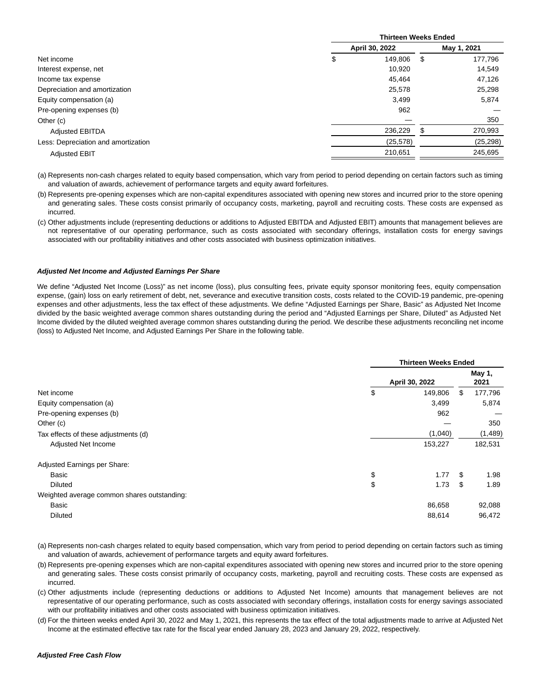|                                     | <b>Thirteen Weeks Ended</b> |           |      |             |  |  |
|-------------------------------------|-----------------------------|-----------|------|-------------|--|--|
|                                     | April 30, 2022              |           |      | May 1, 2021 |  |  |
| Net income                          | \$                          | 149.806   | - \$ | 177,796     |  |  |
| Interest expense, net               |                             | 10,920    |      | 14,549      |  |  |
| Income tax expense                  |                             | 45,464    |      | 47,126      |  |  |
| Depreciation and amortization       |                             | 25,578    |      | 25,298      |  |  |
| Equity compensation (a)             |                             | 3,499     |      | 5,874       |  |  |
| Pre-opening expenses (b)            |                             | 962       |      |             |  |  |
| Other (c)                           |                             |           |      | 350         |  |  |
| <b>Adjusted EBITDA</b>              |                             | 236,229   | \$   | 270,993     |  |  |
| Less: Depreciation and amortization |                             | (25, 578) |      | (25, 298)   |  |  |
| <b>Adjusted EBIT</b>                |                             | 210.651   |      | 245.695     |  |  |

(a) Represents non-cash charges related to equity based compensation, which vary from period to period depending on certain factors such as timing and valuation of awards, achievement of performance targets and equity award forfeitures.

(b) Represents pre-opening expenses which are non-capital expenditures associated with opening new stores and incurred prior to the store opening and generating sales. These costs consist primarily of occupancy costs, marketing, payroll and recruiting costs. These costs are expensed as incurred.

(c) Other adjustments include (representing deductions or additions to Adjusted EBITDA and Adjusted EBIT) amounts that management believes are not representative of our operating performance, such as costs associated with secondary offerings, installation costs for energy savings associated with our profitability initiatives and other costs associated with business optimization initiatives.

#### **Adjusted Net Income and Adjusted Earnings Per Share**

We define "Adjusted Net Income (Loss)" as net income (loss), plus consulting fees, private equity sponsor monitoring fees, equity compensation expense, (gain) loss on early retirement of debt, net, severance and executive transition costs, costs related to the COVID-19 pandemic, pre-opening expenses and other adjustments, less the tax effect of these adjustments. We define "Adjusted Earnings per Share, Basic" as Adjusted Net Income divided by the basic weighted average common shares outstanding during the period and "Adjusted Earnings per Share, Diluted" as Adjusted Net Income divided by the diluted weighted average common shares outstanding during the period. We describe these adjustments reconciling net income (loss) to Adjusted Net Income, and Adjusted Earnings Per Share in the following table.

|                                             | <b>Thirteen Weeks Ended</b> |     |                |  |  |
|---------------------------------------------|-----------------------------|-----|----------------|--|--|
|                                             | April 30, 2022              |     | May 1,<br>2021 |  |  |
| Net income                                  | \$<br>149.806               | \$. | 177,796        |  |  |
| Equity compensation (a)                     | 3,499                       |     | 5,874          |  |  |
| Pre-opening expenses (b)                    | 962                         |     |                |  |  |
| Other (c)                                   |                             |     | 350            |  |  |
| Tax effects of these adjustments (d)        | (1,040)                     |     | (1,489)        |  |  |
| Adjusted Net Income                         | 153,227                     |     | 182,531        |  |  |
| Adjusted Earnings per Share:                |                             |     |                |  |  |
| Basic                                       | \$<br>1.77                  | \$  | 1.98           |  |  |
| <b>Diluted</b>                              | \$<br>1.73                  | \$  | 1.89           |  |  |
| Weighted average common shares outstanding: |                             |     |                |  |  |
| Basic                                       | 86,658                      |     | 92,088         |  |  |
| <b>Diluted</b>                              | 88,614                      |     | 96,472         |  |  |
|                                             |                             |     |                |  |  |

(a) Represents non-cash charges related to equity based compensation, which vary from period to period depending on certain factors such as timing and valuation of awards, achievement of performance targets and equity award forfeitures.

(b) Represents pre-opening expenses which are non-capital expenditures associated with opening new stores and incurred prior to the store opening and generating sales. These costs consist primarily of occupancy costs, marketing, payroll and recruiting costs. These costs are expensed as incurred.

(c) Other adjustments include (representing deductions or additions to Adjusted Net Income) amounts that management believes are not representative of our operating performance, such as costs associated with secondary offerings, installation costs for energy savings associated with our profitability initiatives and other costs associated with business optimization initiatives.

(d) For the thirteen weeks ended April 30, 2022 and May 1, 2021, this represents the tax effect of the total adjustments made to arrive at Adjusted Net Income at the estimated effective tax rate for the fiscal year ended January 28, 2023 and January 29, 2022, respectively.